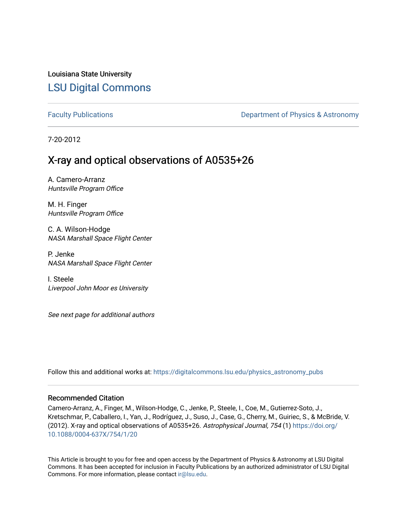Louisiana State University [LSU Digital Commons](https://digitalcommons.lsu.edu/)

[Faculty Publications](https://digitalcommons.lsu.edu/physics_astronomy_pubs) **Exercise 2 and Table 2 and Table 2 and Table 2 and Table 2 and Table 2 and Table 2 and Table 2 and Table 2 and Table 2 and Table 2 and Table 2 and Table 2 and Table 2 and Table 2 and Table 2 and Table** 

7-20-2012

# X-ray and optical observations of A0535+26

A. Camero-Arranz Huntsville Program Office

M. H. Finger Huntsville Program Office

C. A. Wilson-Hodge NASA Marshall Space Flight Center

P. Jenke NASA Marshall Space Flight Center

I. Steele Liverpool John Moor es University

See next page for additional authors

Follow this and additional works at: [https://digitalcommons.lsu.edu/physics\\_astronomy\\_pubs](https://digitalcommons.lsu.edu/physics_astronomy_pubs?utm_source=digitalcommons.lsu.edu%2Fphysics_astronomy_pubs%2F674&utm_medium=PDF&utm_campaign=PDFCoverPages) 

# Recommended Citation

Camero-Arranz, A., Finger, M., Wilson-Hodge, C., Jenke, P., Steele, I., Coe, M., Gutierrez-Soto, J., Kretschmar, P., Caballero, I., Yan, J., Rodríguez, J., Suso, J., Case, G., Cherry, M., Guiriec, S., & McBride, V. (2012). X-ray and optical observations of A0535+26. Astrophysical Journal, 754 (1) [https://doi.org/](https://doi.org/10.1088/0004-637X/754/1/20) [10.1088/0004-637X/754/1/20](https://doi.org/10.1088/0004-637X/754/1/20) 

This Article is brought to you for free and open access by the Department of Physics & Astronomy at LSU Digital Commons. It has been accepted for inclusion in Faculty Publications by an authorized administrator of LSU Digital Commons. For more information, please contact [ir@lsu.edu](mailto:ir@lsu.edu).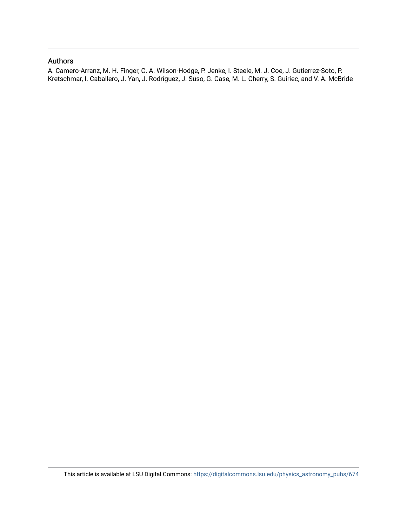# Authors

A. Camero-Arranz, M. H. Finger, C. A. Wilson-Hodge, P. Jenke, I. Steele, M. J. Coe, J. Gutierrez-Soto, P. Kretschmar, I. Caballero, J. Yan, J. Rodríguez, J. Suso, G. Case, M. L. Cherry, S. Guiriec, and V. A. McBride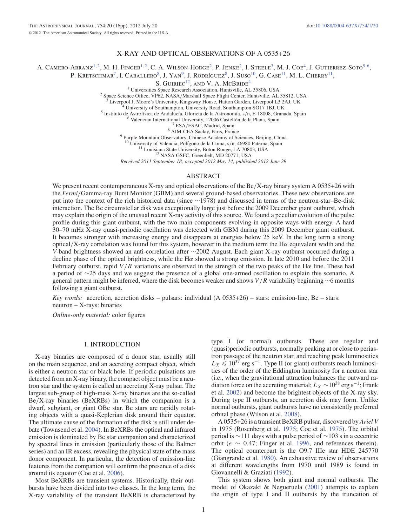# X-RAY AND OPTICAL OBSERVATIONS OF A 0535+26

A. CAMERO-ARRANZ<sup>1,2</sup>, M. H. FINGER<sup>1,2</sup>, C. A. WILSON-HODGE<sup>2</sup>, P. JENKE<sup>2</sup>, I. STEELE<sup>3</sup>, M. J. COE<sup>4</sup>, J. GUTIERREZ-SOTO<sup>5,6</sup>,

P. KRETSCHMAR<sup>7</sup>, I. CABALLERO<sup>8</sup>, J. YAN<sup>9</sup>, J. RODRÍGUEZ<sup>8</sup>, J. SUSO<sup>10</sup>, G. CASE<sup>11</sup>, M. L. CHERRY<sup>11</sup>,

S. GUIRIEC<sup>12</sup>, AND V. A. MCBRIDE<sup>4</sup><br><sup>1</sup> Universities Space Research Association, Huntsville, AL 35806, USA

<sup>2</sup> Space Science Office, VP62, NASA/Marshall Space Flight Center, Huntsville, AL 35812, USA<br><sup>3</sup> Liverpool J. Moore's University, Kingsway House, Hatton Garden, Liverpool L3 2AJ, UK<br><sup>4</sup> University of Southampton, Universi

<sup>10</sup> University of Valencia, Polígono de la Coma, s/n, 46980 Paterna, Spain <sup>11</sup> Louisiana State University, Boton Rouge, LA 70803, USA <sup>12</sup> NASA GSFC, Greenbelt, MD 20771, USA

*Received 2011 September 18; accepted 2012 May 14; published 2012 June 29*

#### ABSTRACT

We present recent contemporaneous X-ray and optical observations of the Be/X-ray binary system A 0535+26 with the *Fermi*/Gamma-ray Burst Monitor (GBM) and several ground-based observatories. These new observations are put into the context of the rich historical data (since ∼1978) and discussed in terms of the neutron-star–Be-disk interaction. The Be circumstellar disk was exceptionally large just before the 2009 December giant outburst, which may explain the origin of the unusual recent X-ray activity of this source. We found a peculiar evolution of the pulse profile during this giant outburst, with the two main components evolving in opposite ways with energy. A hard 30–70 mHz X-ray quasi-periodic oscillation was detected with GBM during this 2009 December giant outburst. It becomes stronger with increasing energy and disappears at energies below 25 keV. In the long term a strong optical/X-ray correlation was found for this system, however in the medium term the Hα equivalent width and the *V*-band brightness showed an anti-correlation after ∼2002 August. Each giant X-ray outburst occurred during a decline phase of the optical brightness, while the H $\alpha$  showed a strong emission. In late 2010 and before the 2011 February outburst, rapid  $V/R$  variations are observed in the strength of the two peaks of the H $\alpha$  line. These had a period of ∼25 days and we suggest the presence of a global one-armed oscillation to explain this scenario. A general pattern might be inferred, where the disk becomes weaker and shows V /R variability beginning <sup>∼</sup>6 months following a giant outburst.

*Key words:* accretion, accretion disks – pulsars: individual (A 0535+26) – stars: emission-line, Be – stars: neutron – X-rays: binaries

*Online-only material:* color figures

#### 1. INTRODUCTION

X-ray binaries are composed of a donor star, usually still on the main sequence, and an accreting compact object, which is either a neutron star or black hole. If periodic pulsations are detected from an X-ray binary, the compact object must be a neutron star and the system is called an accreting X-ray pulsar. The largest sub-group of high-mass X-ray binaries are the so-called Be/X-ray binaries (BeXRBs) in which the companion is a dwarf, subgiant, or giant OBe star. Be stars are rapidly rotating objects with a quasi-Keplerian disk around their equator. The ultimate cause of the formation of the disk is still under debate (Townsend et al. 2004). In BeXRBs the optical and infrared emission is dominated by Be star companion and characterized by spectral lines in emission (particularly those of the Balmer series) and an IR excess, revealing the physical state of the mass donor component. In particular, the detection of emission-line features from the companion will confirm the presence of a disk around its equator (Coe et al. 2006).

Most BeXRBs are transient systems. Historically, their outbursts have been divided into two classes. In the long term, the X-ray variability of the transient BeXRB is characterized by type I (or normal) outbursts. These are regular and (quasi)periodic outbursts, normally peaking at or close to periastron passage of the neutron star, and reaching peak luminosities  $L_X \leq 10^{37}$  erg s<sup>-1</sup>. Type II (or giant) outbursts reach luminosities of the order of the Eddington luminosity for a neutron star (i.e., when the gravitational attraction balances the outward radiation force on the accreting material;  $L_X \sim 10^{38}$  erg s<sup>-1</sup>; Frank et al. 2002) and become the brightest objects of the X-ray sky. During type II outbursts, an accretion disk may form. Unlike normal outbursts, giant outbursts have no consistently preferred orbital phase (Wilson et al. 2008).

A 0535+26 is a transient BeXRB pulsar, discovered by *Ariel V* in 1975 (Rosenberg et al. 1975; Coe et al. 1975). The orbital period is ∼111 days with a pulse period of ∼103 s in a eccentric orbit ( $e \sim 0.47$ ; Finger et al. 1996, and references therein). The optical counterpart is the O9.7 IIIe star HDE 245770 (Giangrande et al. 1980). An exhaustive review of observations at different wavelengths from 1970 until 1989 is found in Giovannelli & Graziati (1992).

This system shows both giant and normal outbursts. The model of Okazaki & Negueruela (2001) attempts to explain the origin of type I and II outbursts by the truncation of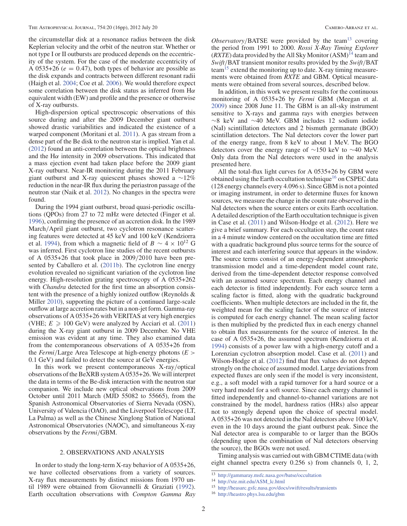the circumstellar disk at a resonance radius between the disk Keplerian velocity and the orbit of the neutron star. Whether or not type I or II outbursts are produced depends on the eccentricity of the system. For the case of the moderate eccentricity of A 0535+26 ( $e = 0.47$ ), both types of behavior are possible as the disk expands and contracts between different resonant radii (Haigh et al. 2004; Coe et al. 2006). We would therefore expect some correlation between the disk status as inferred from  $H\alpha$ equivalent width (EW) and profile and the presence or otherwise of X-ray outbursts.

High-dispersion optical spectroscopic observations of this source during and after the 2009 December giant outburst showed drastic variabilities and indicated the existence of a warped component (Moritani et al. 2011). A gas stream from a dense part of the Be disk to the neutron star is implied. Yan et al. (2012) found an anti-correlation between the optical brightness and the H $\alpha$  intensity in 2009 observations. This indicated that a mass ejection event had taken place before the 2009 giant X-ray outburst. Near-IR monitoring during the 2011 February giant outburst and X-ray quiescent phases showed a ∼12% reduction in the near-IR flux during the periastron passage of the neutron star (Naik et al. 2012). No changes in the spectra were found.

During the 1994 giant outburst, broad quasi-periodic oscillations (QPOs) from 27 to 72 mHz were detected (Finger et al. 1996), confirming the presence of an accretion disk. In the 1989 March/April giant outburst, two cyclotron resonance scattering features were detected at 45 keV and 100 keV (Kendziorra et al. 1994), from which a magnetic field of  $B \sim 4 \times 10^{12}$  G was inferred. First cyclotron line studies of the recent outbursts of A 0535+26 that took place in 2009/2010 have been presented by Caballero et al. (2011b). The cyclotron line energy evolution revealed no significant variation of the cyclotron line energy. High-resolution grating spectroscopy of A 0535+262 with *Chandra* detected for the first time an absorption consistent with the presence of a highly ionized outflow (Reynolds & Miller 2010), supporting the picture of a continued large-scale outflow at large accretion rates but in a non-jet form. Gamma-ray observations of A 0535+26 with VERITAS at very high energies (VHE;  $E \ge 100$  GeV) were analyzed by Acciari et al. (2011) during the X-ray giant outburst in 2009 December. No VHE emission was evident at any time. They also examined data from the contemporaneous observations of A 0535+26 from the *Fermi*/Large Area Telescope at high-energy photons (*E* > 0.1 GeV) and failed to detect the source at GeV energies.

In this work we present contemporaneous X-ray/optical observations of the BeXRB system A 0535+26.We will interpret the data in terms of the Be-disk interaction with the neutron star companion. We include new optical observations from 2009 October until 2011 March (MJD 55082 to 55665), from the Spanish Astronomical Observatories of Sierra Nevada (OSN), University of Valencia (OAO), and the Liverpool Telescope (LT, La Palma) as well as the Chinese Xinglong Station of National Astronomical Observatories (NAOC), and simultaneous X-ray observations by the *Fermi*/GBM.

# 2. OBSERVATIONS AND ANALYSIS

In order to study the long-term X-ray behavior of A 0535+26, we have collected observations from a variety of sources. X-ray flux measurements by distinct missions from 1970 until 1989 were obtained from Giovannelli & Graziati (1992). Earth occultation observations with *Compton Gamma Ray* *Observatory*/BATSE were provided by the team<sup>13</sup> covering the period from 1991 to 2000. *Rossi X-Ray Timing Explorer*  $(RXTE)$  data provided by the All Sky Monitor  $(ASM)$ <sup>14</sup> team and *Swift*/BAT transient monitor results provided by the *Swift*/BAT team<sup>15</sup> extend the monitoring up to date. X-ray timing measurements were obtained from *RXTE* and GBM. Optical measurements were obtained from several sources, described below.

In addition, in this work we present results for the continuous monitoring of A 0535+26 by *Fermi* GBM (Meegan et al. 2009) since 2008 June 11. The GBM is an all-sky instrument sensitive to X-rays and gamma rays with energies between ∼8 keV and ∼40 MeV. GBM includes 12 sodium iodide (NaI) scintillation detectors and 2 bismuth germanate (BGO) scintillation detectors. The NaI detectors cover the lower part of the energy range, from 8 keV to about 1 MeV. The BGO detectors cover the energy range of ∼150 keV to ∼40 MeV. Only data from the NaI detectors were used in the analysis presented here.

All the total-flux light curves for A 0535+26 by GBM were obtained using the Earth occultation technique<sup>16</sup> on CSPEC data (128 energy channels every 4.096 s). Since GBM is not a pointed or imaging instrument, in order to determine fluxes for known sources, we measure the change in the count rate observed in the NaI detectors when the source enters or exits Earth occultation. A detailed description of the Earth occultation technique is given in Case et al. (2011) and Wilson-Hodge et al. (2012). Here we give a brief summary. For each occultation step, the count rates in a 4 minute window centered on the occultation time are fitted with a quadratic background plus source terms for the source of interest and each interfering source that appears in the window. The source terms consist of an energy-dependent atmospheric transmission model and a time-dependent model count rate, derived from the time-dependent detector response convolved with an assumed source spectrum. Each energy channel and each detector is fitted independently. For each source term a scaling factor is fitted, along with the quadratic background coefficients. When multiple detectors are included in the fit, the weighted mean for the scaling factor of the source of interest is computed for each energy channel. The mean scaling factor is then multiplied by the predicted flux in each energy channel to obtain flux measurements for the source of interest. In the case of A 0535+26, the assumed spectrum (Kendziorra et al. 1994) consists of a power law with a high-energy cutoff and a Lorenzian cyclotron absorption model. Case et al. (2011) and Wilson-Hodge et al. (2012) find that flux values do not depend strongly on the choice of assumed model. Large deviations from expected fluxes are only seen if the model is very inconsistent, e.g., a soft model with a rapid turnover for a hard source or a very hard model for a soft source. Since each energy channel is fitted independently and channel-to-channel variations are not constrained by the model, hardness ratios (HRs) also appear not to strongly depend upon the choice of spectral model. A 0535+26 was not detected in the NaI detectors above 100 keV, even in the 10 days around the giant outburst peak. Since the NaI detector area is comparable to or larger than the BGOs (depending upon the combination of NaI detectors observing the source), the BGOs were not used.

Timing analysis was carried out with GBM CTIME data (with eight channel spectra every 0.256 s) from channels 0, 1, 2,

<sup>13</sup> http://gammaray.msfc.nasa.gov/batse/occultation

<sup>14</sup> http://xte.mit.edu/ASM\_lc.html

<sup>15</sup> http://heasarc.gsfc.nasa.gov/docs/swift/results/transients

<sup>16</sup> http://heastro.phys.lsu.edu/gbm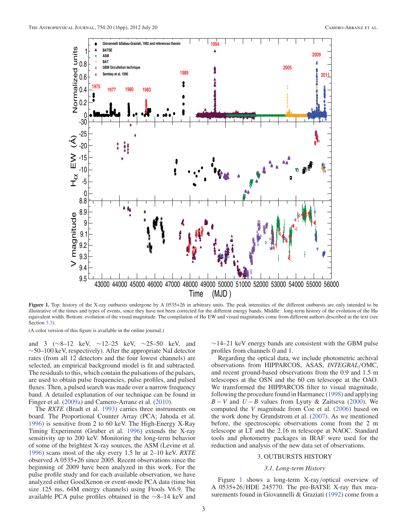

**Figure 1.** Top: history of the X-ray outbursts undergone by A 0535+26 in arbitrary units. The peak intensities of the different outbursts are only intended to be illustrative of the times and types of events, since they have not been corrected for the different energy bands. Middle: long-term history of the evolution of the H $\alpha$ equivalent width. Bottom: evolution of the visual magnitude. The compilation of Hα EW and visual magnitudes come from different authors described in the text (see Section 3.3).

(A color version of this figure is available in the online journal.)

and 3 (∼8–12 keV, ∼12–25 keV, ∼25–50 keV, and ∼50–100 keV, respectively). After the appropriate NaI detector rates (from all 12 detectors and the four lowest channels) are selected, an empirical background model is fit and subtracted. The residuals to this, which contain the pulsations of the pulsars, are used to obtain pulse frequencies, pulse profiles, and pulsed fluxes. Then, a pulsed search was made over a narrow frequency band. A detailed explanation of our technique can be found in Finger et al. (2009a) and Camero-Arranz et al. (2010).

The *RXTE* (Bradt et al. 1993) carries three instruments on board. The Proportional Counter Array (PCA; Jahoda et al. 1996) is sensitive from 2 to 60 keV. The High-Energy X-Ray Timing Experiment (Gruber et al. 1996) extends the X-ray sensitivity up to 200 keV. Monitoring the long-term behavior of some of the brightest X-ray sources, the ASM (Levine et al. 1996) scans most of the sky every 1.5 hr at 2–10 keV. *RXTE* observed A 0535+26 since 2005. Recent observations since the beginning of 2009 have been analyzed in this work. For the pulse profile study and for each available observation, we have analyzed either GoodXenon or event-mode PCA data (time bin size 125 ms, 64M energy channels) using Ftools V6.9. The available PCA pulse profiles obtained in the ∼8–14 keV and

 $\sim$ 14–21 keV energy bands are consistent with the GBM pulse profiles from channels 0 and 1.

Regarding the optical data, we include photometric archival observations from HIPPARCOS, ASAS, *INTEGRAL*/OMC, and recent ground-based observations from the 0.9 and 1.5 m telescopes at the OSN and the 60 cm telescope at the OAO. We transformed the HIPPARCOS filter to visual magnitude, following the procedure found in Harmanec (1998) and applying *B* − *V* and  $U - B$  values from Lyuty & Zaitseva (2000). We computed the *V* magnitude from Coe et al. (2006) based on the work done by Grundstrom et al. (2007). As we mentioned before, the spectroscopic observations come from the 2 m telescope at LT and the 2.16 m telescope at NAOC. Standard tools and photometry packages in IRAF were used for the reduction and analysis of the new data set of observations.

# 3. OUTBURSTS HISTORY

# *3.1. Long-term History*

Figure 1 shows a long-term X-ray/optical overview of A 0535+26/HDE 245770. The pre-BATSE X-ray flux measurements found in Giovannelli & Graziati (1992) come from a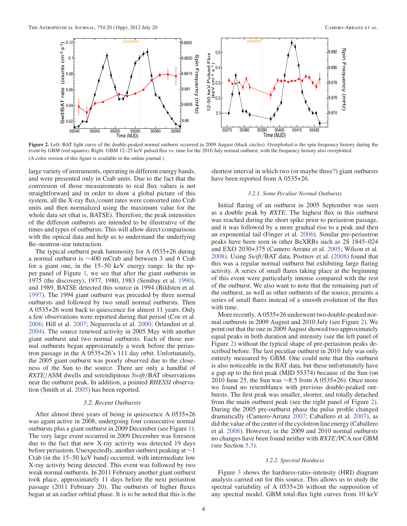

**Figure 2.** Left: BAT light curve of the double-peaked normal outburst occurred in 2009 August (black circles). Overplotted is the spin frequency history during the event by GBM (red squares). Right: GBM 12–25 keV pulsed flux vs. time for the 2010 July normal outburst, with the frequency history also overplotted. (A color version of this figure is available in the online journal.)

large variety of instruments, operating in different energy bands, and were presented only in Crab units. Due to the fact that the conversion of those measurements to real flux values is not straightforward and in order to show a global picture of this system, all the X-ray flux/count rates were converted into Crab units and then normalized using the maximum value for the whole data set (that is, BATSE). Therefore, the peak intensities of the different outbursts are intended to be illustrative of the times and types of outbursts. This will allow direct comparisons with the optical data and help us to understand the underlying Be–neutron-star interaction.

The typical outburst peak luminosity for A 0535+26 during a normal outburst is ∼400 mCrab and between 3 and 6 Crab for a giant one, in the 15–50 keV energy range. In the upper panel of Figure 1, we see that after the giant outbursts in 1975 (the discovery), 1977, 1980, 1983 (Sembay et al. 1990), and 1989, BATSE detected this source in 1994 (Bildsten et al. 1997). The 1994 giant outburst was preceded by three normal outbursts and followed by two small normal outbursts. Then A 0535+26 went back to quiescence for almost 11 years. Only a few observations were reported during that period (Coe et al. 2006; Hill et al. 2007; Negueruela et al. 2000; Orlandini et al. 2004). The source renewed activity in 2005 May with another giant outburst and two normal outbursts. Each of those normal outbursts began approximately a week before the periastron passage in the A 0535+26's 111 day orbit. Unfortunately, the 2005 giant outburst was poorly observed due to the closeness of the Sun to the source. There are only a handful of *RXTE*/ASM dwells and serendipitous *Swift*/BAT observations near the outburst peak. In addition, a pointed *RHESSI* observation (Smith et al. 2005) has been reported.

#### *3.2. Recent Outbursts*

After almost three years of being in quiescence A 0535+26 was again active in 2008, undergoing four consecutive normal outbursts plus a giant outburst in 2009 December (see Figure 1). The very large event occurred in 2009 December was foreseen due to the fact that new X-ray activity was detected 19 days before periastron. Unexpectedly, another outburst peaking at ∼1 Crab (in the 15–50 keV band) occurred, with intermediate low X-ray activity being detected. This event was followed by two weak normal outbursts. In 2011 February another giant outburst took place, approximately 11 days before the next periastron passage (2011 February 20). The outbursts of higher fluxes began at an earlier orbital phase. It is to be noted that this is the shortest interval in which two (or maybe three?) giant outbursts have been reported from A 0535+26.

## *3.2.1. Some Peculiar Normal Outbursts*

Initial flaring of an outburst in 2005 September was seen as a double peak by *RXTE*. The highest flux in this outburst was reached during the short spike prior to periastron passage, and it was followed by a more gradual rise to a peak and then an exponential tail (Finger et al. 2006). Similar pre-periastron peaks have been seen in other BeXRBs such as 2S 1845–024 and EXO 2030+375 (Camero Arranz et al. 2005; Wilson et al. 2008). Using *Swift*/BAT data, Postnov et al. (2008) found that this was a regular normal outburst but exhibiting large flaring activity. A series of small flares taking place at the beginning of this event were particularly intense compared with the rest of the outburst. We also want to note that the remaining part of the outburst, as well as other outbursts of the source, presents a series of small flares instead of a smooth evolution of the flux with time.

More recently, A 0535+26 underwent two double-peaked normal outbursts in 2009 August and 2010 July (see Figure 2). We point out that the one in 2009 August showed two approximately equal peaks in both duration and intensity (see the left panel of Figure 2) without the typical shape of pre-periastron peaks described before. The last peculiar outburst in 2010 July was only entirely measured by GBM. One could note that this outburst is also noticeable in the BAT data, but these unfortunately have a gap up to the first peak (MJD 55374) because of the Sun (on 2010 June 25, the Sun was ∼8.5 from A 0535+26). Once more we found no resemblance with previous double-peaked outbursts. The first peak was smaller, shorter, and totally detached from the main outburst peak (see the right panel of Figure 2). During the 2005 pre-outburst phase the pulse profile changed dramatically (Camero-Arranz 2007; Caballero et al. 2007), as did the value of the center of the cyclotron line energy (Caballero et al. 2008). However, in the 2009 and 2010 normal outbursts no changes have been found neither with *RXTE*/PCA nor GBM (see Section 5.3).

#### *3.2.2. Spectral Hardness*

Figure 3 shows the hardness-ratio–intensity (HRI) diagram analysis carried out for this source. This allows us to study the spectral variability of A 0535+26 without the supposition of any spectral model. GBM total-flux light curves from 10 keV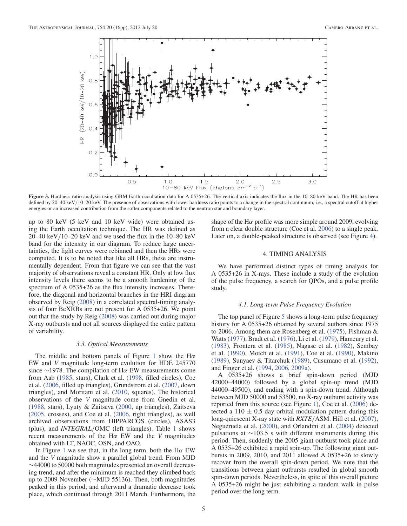

**Figure 3.** Hardness ratio analysis using GBM Earth occultation data for A 0535+26. The vertical axis indicates the flux in the 10–80 keV band. The HR has been defined by 20–40 keV/10–20 keV. The presence of observations with lower hardness ratio points to a change in the spectral continuum, i.e., a spectral cutoff at higher energies or an increased contribution from the softer components related to the neutron star and boundary layer.

up to 80 keV (5 keV and 10 keV wide) were obtained using the Earth occultation technique. The HR was defined as  $20-40$  keV/10–20 keV and we used the flux in the 10–80 keV band for the intensity in our diagram. To reduce large uncertainties, the light curves were rebinned and then the HRs were computed. It is to be noted that like all HRs, these are instrumentally dependent. From that figure we can see that the vast majority of observations reveal a constant HR. Only at low flux intensity levels there seems to be a smooth hardening of the spectrum of A 0535+26 as the flux intensity increases. Therefore, the diagonal and horizontal branches in the HRI diagram observed by Reig (2008) in a correlated spectral-timing analysis of four BeXRBs are not present for A 0535+26. We point out that the study by Reig (2008) was carried out during major X-ray outbursts and not all sources displayed the entire pattern of variability.

#### *3.3. Optical Measurements*

The middle and bottom panels of Figure 1 show the H $\alpha$ EW and *V* magnitude long-term evolution for HDE 245770 since ∼1978. The compilation of H $\alpha$  EW measurements come from Aab (1985, stars), Clark et al. (1998, filled circles), Coe et al. (2006, filled up triangles), Grundstrom et al. (2007, down triangles), and Moritani et al. (2010, squares). The historical observations of the *V* magnitude come from Gnedin et al. (1988, stars), Lyuty & Zaitseva (2000, up triangles), Zaitseva (2005, crosses), and Coe et al. (2006, right triangles), as well archived observations from HIPPARCOS (circles), ASAS3 (plus), and *INTEGRAL*/OMC (left triangles). Table 1 shows recent measurements of the  $H\alpha$  EW and the *V* magnitudes obtained with LT, NAOC, OSN, and OAO.

In Figure 1 we see that, in the long term, both the H $\alpha$  EW and the *V* magnitude show a parallel global trend. From MJD ∼44000 to 50000 both magnitudes presented an overall decreasing trend, and after the minimum is reached they climbed back up to 2009 November (∼MJD 55136). Then, both magnitudes peaked in this period, and afterward a dramatic decrease took place, which continued through 2011 March. Furthermore, the shape of the H $\alpha$  profile was more simple around 2009, evolving from a clear double structure (Coe et al. 2006) to a single peak. Later on, a double-peaked structure is observed (see Figure 4).

#### 4. TIMING ANALYSIS

We have performed distinct types of timing analysis for A 0535+26 in X-rays. These include a study of the evolution of the pulse frequency, a search for QPOs, and a pulse profile study.

#### *4.1. Long-term Pulse Frequency Evolution*

The top panel of Figure 5 shows a long-term pulse frequency history for A 0535+26 obtained by several authors since 1975 to 2006. Among them are Rosenberg et al. (1975), Fishman & Watts (1977), Bradt et al. (1976), Li et al. (1979), Hameury et al. (1983), Frontera et al. (1985), Nagase et al. (1982), Sembay et al. (1990), Motch et al. (1991), Coe et al. (1990), Makino (1989), Sunyaev & Titarchuk (1989), Cusumano et al. (1992), and Finger et al. (1994, 2006, 2009a).

A 0535+26 shows a brief spin-down period (MJD 42000–44000) followed by a global spin-up trend (MJD 44000–49500), and ending with a spin-down trend. Although between MJD 50000 and 53500, no X-ray outburst activity was reported from this source (see Figure 1), Coe et al. (2006) detected a 110  $\pm$  0.5 day orbital modulation pattern during this long-quiescent X-ray state with *RXTE*/ASM. Hill et al. (2007), Negueruela et al. (2000), and Orlandini et al. (2004) detected pulsations at ∼103.5 s with different instruments during this period. Then, suddenly the 2005 giant outburst took place and A 0535+26 exhibited a rapid spin-up. The following giant outbursts in 2009, 2010, and 2011 allowed A 0535+26 to slowly recover from the overall spin-down period. We note that the transitions between giant outbursts resulted in global smooth spin-down periods. Nevertheless, in spite of this overall picture A 0535+26 might be just exhibiting a random walk in pulse period over the long term.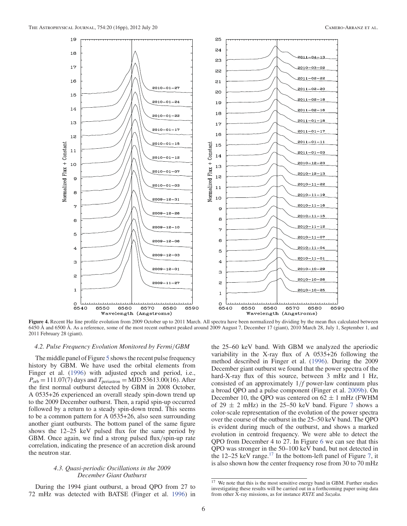

**Figure 4.** Recent Hα line profile evolution from 2009 October up to 2011 March. All spectra have been normalized by dividing by the mean flux calculated between 6450 Å and 6500 Å. As a reference, some of the most recent outburst peaked around 2009 August 7, December 17 (giant), 2010 March 28, July 1, September 1, and 2011 February 28 (giant).

#### *4.2. Pulse Frequency Evolution Monitored by Fermi*/*GBM*

The middle panel of Figure 5 shows the recent pulse frequency history by GBM. We have used the orbital elements from Finger et al. (1996) with adjusted epoch and period, i.e.,  $P_{\text{orb}} = 111.07(7)$  days and  $T_{\text{periastron}} = \text{MJD } 53613.00(16)$ . After the first normal outburst detected by GBM in 2008 October, A 0535+26 experienced an overall steady spin-down trend up to the 2009 December outburst. Then, a rapid spin-up occurred followed by a return to a steady spin-down trend. This seems to be a common pattern for A 0535+26, also seen surrounding another giant outbursts. The bottom panel of the same figure shows the 12–25 keV pulsed flux for the same period by GBM. Once again, we find a strong pulsed flux/spin-up rate correlation, indicating the presence of an accretion disk around the neutron star.

# *4.3. Quasi-periodic Oscillations in the 2009 December Giant Outburst*

During the 1994 giant outburst, a broad QPO from 27 to 72 mHz was detected with BATSE (Finger et al. 1996) in the 25–60 keV band. With GBM we analyzed the aperiodic variability in the X-ray flux of A 0535+26 following the method described in Finger et al. (1996). During the 2009 December giant outburst we found that the power spectra of the hard-X-ray flux of this source, between 3 mHz and 1 Hz, consisted of an approximately 1/*f* power-law continuum plus a broad QPO and a pulse component (Finger et al. 2009b). On December 10, the QPO was centered on  $62 \pm 1$  mHz (FWHM of  $29 \pm 2$  mHz) in the 25–50 keV band. Figure 7 shows a color-scale representation of the evolution of the power spectra over the course of the outburst in the 25–50 keV band. The QPO is evident during much of the outburst, and shows a marked evolution in centroid frequency. We were able to detect the QPO from December 4 to 27. In Figure 6 we can see that this QPO was stronger in the 50–100 keV band, but not detected in the  $12-25$  keV range.<sup>17</sup> In the bottom-left panel of Figure 7, it is also shown how the center frequency rose from 30 to 70 mHz

<sup>&</sup>lt;sup>17</sup> We note that this is the most sensitive energy band in GBM. Further studies investigating these results will be carried out in a forthcoming paper using data from other X-ray missions, as for instance *RXTE* and *Suzaku*.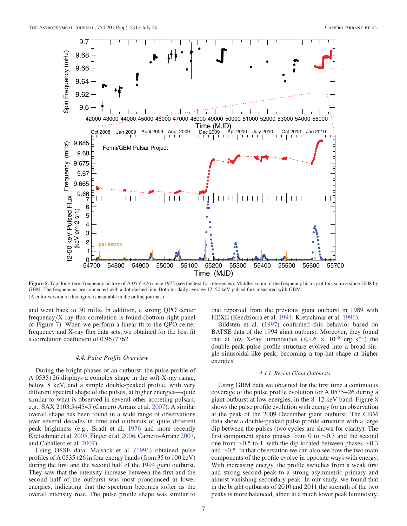

Figure 5. Top: long-term frequency history of A 0535+26 since 1975 (see the text for references). Middle: zoom of the frequency history of this source since 2008 by GBM. The frequencies are connected with a dot-dashed line. Bottom: daily average 12–50 keV pulsed flux measured with GBM. (A color version of this figure is available in the online journal.)

and went back to 30 mHz. In addition, a strong QPO center frequency/X-ray flux correlation is found (bottom-right panel of Figure 7). When we perform a linear fit to the QPO center frequency and X-ray flux data sets, we obtained for the best fit a correlation coefficient of 0.9677762.

## *4.4. Pulse Profile Overview*

During the bright phases of an outburst, the pulse profile of A 0535+26 displays a complex shape in the soft-X-ray range, below 8 keV, and a simple double-peaked profile, with very different spectral shape of the pulses, at higher energies—quite similar to what is observed in several other accreting pulsars, e.g., SAX 2103.5+4545 (Camero Arranz et al. 2007). A similar overall shape has been found in a wide range of observations over several decades in time and outbursts of quite different peak brightness (e.g., Bradt et al. 1976 and more recently Kretschmar et al. 2005, Finger et al. 2006, Camero-Arranz 2007, and Caballero et al. 2007).

Using OSSE data, Maisack et al. (1996) obtained pulse profiles of A 0535+26 in four energy bands (from 35 to 100 keV) during the first and the second half of the 1994 giant outburst. They saw that the intensity increase between the first and the second half of the outburst was most pronounced at lower energies, indicating that the spectrum becomes softer as the overall intensity rose. The pulse profile shape was similar to

that reported from the previous giant outburst in 1989 with HEXE (Kendziorra et al. 1994; Kretschmar et al. 1996).

Bildsten et al. (1997) confirmed this behavior based on BATSE data of the 1994 giant outburst. Moreover, they found that at low X-ray luminosities ( $\leq 1.6 \times 10^{36}$  erg s<sup>-1</sup>) the double-peak pulse profile structure evolved into a broad single sinusoidal-like peak, becoming a top-hat shape at higher energies.

#### *4.4.1. Recent Giant Outbursts*

Using GBM data we obtained for the first time a continuous coverage of the pulse profile evolution for A 0535+26 during a giant outburst at low energies, in the 8–12 keV band. Figure 8 shows the pulse profile evolution with energy for an observation at the peak of the 2009 December giant outburst. The GBM data show a double-peaked pulse profile structure with a large dip between the pulses (two cycles are shown for clarity). The first component spans phases from 0 to ∼0.3 and the second one from ∼0.5 to 1, with the dip located between phases ∼0.3 and ∼0.5. In that observation we can also see how the two main components of the profile evolve in opposite ways with energy. With increasing energy, the profile switches from a weak first and strong second peak to a strong asymmetric primary and almost vanishing secondary peak. In our study, we found that in the bright outbursts of 2010 and 2011 the strength of the two peaks is more balanced, albeit at a much lower peak luminosity.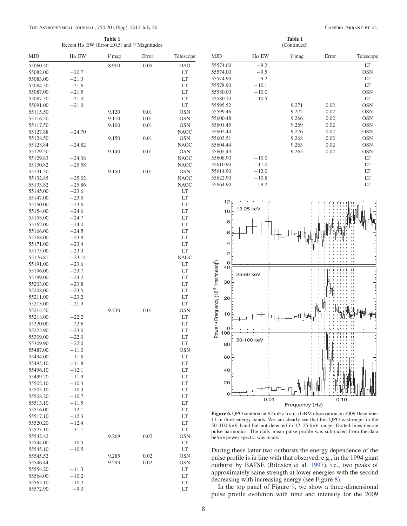#### THE ASTROPHYSICAL JOURNAL, 754:20 (16pp), 2012 July 20

**Table 1**

| CAMERO-ARRANZ ET AL. |  |  |
|----------------------|--|--|
|----------------------|--|--|

| Recent H $\alpha$ EW (Error $\pm$ 0.5) and <i>V</i> Magnitudes |                    |       |          |             |                                                                    |  |  |  |
|----------------------------------------------------------------|--------------------|-------|----------|-------------|--------------------------------------------------------------------|--|--|--|
| MJD                                                            | $H\alpha$ EW       | V mag | Error    | Telescope   | <b>MJD</b>                                                         |  |  |  |
| 55060.50                                                       |                    | 8.900 | 0.05     | <b>OAO</b>  | 55574.0                                                            |  |  |  |
| 55082.00                                                       | $-20.7$            |       |          | LT          | 55574.0                                                            |  |  |  |
| 55083.00                                                       | $-21.3$            |       |          | LT          | 55574.9                                                            |  |  |  |
| 55084.50                                                       | $-21.6$            |       |          | LT          | 55578.9                                                            |  |  |  |
| 55087.00                                                       | $-21.5$            |       |          | LT          | 55580.0                                                            |  |  |  |
| 55087.50                                                       | $-21.0$            |       |          | LT          | 55580.                                                             |  |  |  |
| 55091.00                                                       | $-21.0$            |       |          | LT          | 55595.5                                                            |  |  |  |
| 55115.50                                                       |                    | 9.120 | 0.01     | <b>OSN</b>  | 55599.4                                                            |  |  |  |
| 55116.50                                                       |                    | 9.110 | 0.01     | <b>OSN</b>  | 55600.4                                                            |  |  |  |
| 55117.50                                                       |                    | 9.100 | 0.01     | <b>OSN</b>  | 55601.4                                                            |  |  |  |
| 55127.88                                                       | $-24.70$           |       |          | <b>NAOC</b> | 55602.4                                                            |  |  |  |
| 55128.50                                                       |                    | 9.150 | 0.01     | <b>OSN</b>  | 55603.5                                                            |  |  |  |
| 55128.84                                                       | $-24.82$           |       |          | <b>NAOC</b> | 55604.4                                                            |  |  |  |
| 55129.50                                                       |                    | 9.140 | 0.01     | OSN         | 55605.4                                                            |  |  |  |
| 55129.83                                                       | $-24.38$           |       |          | <b>NAOC</b> | 55608.9                                                            |  |  |  |
| 55130.82                                                       | $-25.58$           |       |          | <b>NAOC</b> | 55610.9                                                            |  |  |  |
| 55131.50                                                       |                    | 9.150 | 0.01     | OSN         | 55614.9                                                            |  |  |  |
| 55132.85                                                       | $-25.02$           |       |          | <b>NAOC</b> | 55622.9                                                            |  |  |  |
| 55133.82                                                       | $-25.86$           |       |          | <b>NAOC</b> | 55664.9                                                            |  |  |  |
| 55145.00                                                       | $-23.6$            |       |          | LT          |                                                                    |  |  |  |
| 55147.00                                                       | $-23.5$            |       |          | LT          | 1                                                                  |  |  |  |
| 55150.00                                                       | $-23.6$            |       |          | LT          |                                                                    |  |  |  |
| 55154.00                                                       | $-24.6$            |       |          | LT          | 1                                                                  |  |  |  |
| 55158.00                                                       | $-24.7$            |       |          | LT          |                                                                    |  |  |  |
| 55162.00                                                       | $-24.0$            |       |          | LT          |                                                                    |  |  |  |
| 55166.00                                                       | $-24.5$            |       |          | LT          |                                                                    |  |  |  |
| 55168.00                                                       | $-23.9$            |       |          | LT          |                                                                    |  |  |  |
| 55171.00                                                       | $-23.4$            |       |          | LT          |                                                                    |  |  |  |
| 55175.00                                                       | $-23.3$            |       |          | LT          |                                                                    |  |  |  |
| 55176.81                                                       | $-23.14$           |       |          | <b>NAOC</b> |                                                                    |  |  |  |
| 55191.00                                                       | $-23.6$            |       |          | LT          | Power • Frequency (10 <sup>-3</sup> [rms/mean] <sup>2</sup> )<br>4 |  |  |  |
| 55196.00                                                       | $-23.7$            |       |          | LT          |                                                                    |  |  |  |
| 55199.00                                                       | $-24.2$            |       |          | LT          | 3                                                                  |  |  |  |
| 55203.00                                                       | $-23.8$            |       |          | LT          |                                                                    |  |  |  |
| 55208.00                                                       | $-23.5$            |       |          | LT          |                                                                    |  |  |  |
| 55211.00                                                       | $-23.2$            |       |          | LT          | $\overline{\mathbf{c}}$                                            |  |  |  |
| 55213.00                                                       | $-21.9$            |       |          | LT          |                                                                    |  |  |  |
| 55214.50                                                       |                    | 9.230 | $0.01\,$ | <b>OSN</b>  | 1                                                                  |  |  |  |
| 55218.00                                                       | $-22.2$            |       |          | LT          |                                                                    |  |  |  |
| 55220.00                                                       | $-22.6$            |       |          | LT          |                                                                    |  |  |  |
| 55223.90                                                       | $-23.0$            |       |          | LT          | 10                                                                 |  |  |  |
| 55309.00                                                       | $-22.0$            |       |          | LT          |                                                                    |  |  |  |
| 55309.90                                                       | $-22.0$            |       |          | LT          | 8                                                                  |  |  |  |
| 55487.00                                                       | $-11.0$            |       |          | <b>OSN</b>  |                                                                    |  |  |  |
| 55494.00<br>55495.10                                           | $-11.8$<br>$-11.8$ |       |          | LT          | 6                                                                  |  |  |  |
|                                                                |                    |       |          | LT          |                                                                    |  |  |  |
| 55496.10                                                       | $-12.1$            |       |          | LT          | 4                                                                  |  |  |  |
| 55499.20                                                       | $-11.9$            |       |          | LT          | 2                                                                  |  |  |  |
| 55502.10                                                       | $-10.4$            |       |          | LT          |                                                                    |  |  |  |
| 55505.10<br>55508.20                                           | $-10.3$            |       |          | LT          |                                                                    |  |  |  |
|                                                                | $-10.7$            |       |          | LT          |                                                                    |  |  |  |
| 55513.10                                                       | $-11.5$            |       |          | LT          |                                                                    |  |  |  |
| 55516.00                                                       | $-12.1$            |       |          | LT          | <b>Figure</b>                                                      |  |  |  |
| 55517.10                                                       | $-12.3$            |       |          | LT          | $11$ in the                                                        |  |  |  |
| 55520.20                                                       | $-12.4$            |       |          | LT          | $50 - 100$                                                         |  |  |  |
| 55523.10                                                       | $-11.1$            |       |          | LT          | pulse h                                                            |  |  |  |
| 55542.42                                                       |                    | 9.269 | 0.02     | OSN         | before 1                                                           |  |  |  |
| 55544.00                                                       | $-10.5$            |       |          | LT          |                                                                    |  |  |  |
| 55545.10                                                       | $-10.5$            |       |          | LT          | Durin                                                              |  |  |  |
| 55545.52                                                       |                    | 9.285 | 0.02     | OSN         | pulse                                                              |  |  |  |
| 55546.44                                                       |                    | 9.293 | 0.02     | OSN         | outbu                                                              |  |  |  |
| 55554.20                                                       | $-11.3$            |       |          | LT<br>LT    | appro:                                                             |  |  |  |
| 55564.00                                                       | $-10.2$            |       |          |             | decrea                                                             |  |  |  |
| 55565.10                                                       | $-10.2$            |       |          | LT          | In t                                                               |  |  |  |
| 55572.90                                                       | $-9.3$             |       |          | LT          |                                                                    |  |  |  |

| Table 1<br>(Continued) |              |       |       |            |  |  |  |
|------------------------|--------------|-------|-------|------------|--|--|--|
| <b>MJD</b>             | $H\alpha$ EW | V mag | Error | Telescope  |  |  |  |
| 55574.00               | $-9.2$       |       |       | LT         |  |  |  |
| 55574.00               | $-9.5$       |       |       | <b>OSN</b> |  |  |  |
| 55574.90               | $-9.2$       |       |       | LT         |  |  |  |
| 55578.90               | $-10.1$      |       |       | LT         |  |  |  |
| 55580.00               | $-10.0$      |       |       | <b>OSN</b> |  |  |  |
| 55580.10               | $-10.5$      |       |       | LT         |  |  |  |
| 55595.52               |              | 9.271 | 0.02  | <b>OSN</b> |  |  |  |
| 55599.46               |              | 9.272 | 0.02  | <b>OSN</b> |  |  |  |
| 55600.48               |              | 9.266 | 0.02  | <b>OSN</b> |  |  |  |
| 55601.45               |              | 9.269 | 0.02  | <b>OSN</b> |  |  |  |
| 55602.44               |              | 9.276 | 0.02  | <b>OSN</b> |  |  |  |
| 55603.51               |              | 9.268 | 0.02  | <b>OSN</b> |  |  |  |
| 55604.44               |              | 9.263 | 0.02  | <b>OSN</b> |  |  |  |
| 55605.43               |              | 9.265 | 0.02  | <b>OSN</b> |  |  |  |
| 55608.90               | $-10.0$      |       |       | LT         |  |  |  |
| 55610.90               | $-11.0$      |       |       | LT         |  |  |  |
| 55614.90               | $-12.0$      |       |       | LT         |  |  |  |
| 55622.90               | $-10.8$      |       |       | LT         |  |  |  |
| 55664.90               | $-9.2$       |       |       | LT         |  |  |  |



**Figure 6.** QPO centered at 62 mHz from a GBM observation on 2009 December nree energy bands. We can clearly see that this QPO is stronger in the keV band but not detected in 12–25 keV range. Dotted lines denote armonics. The daily mean pulse profile was subtracted from the data power spectra was made.

g these latter two outbursts the energy dependence of the profile is in line with that observed, e.g., in the 1994 giant rst by BATSE (Bildsten et al. 1997), i.e., two peaks of ximately same strength at lower energies with the second asing with increasing energy (see Figure 8).

In the top panel of Figure 9, we show a three-dimensional pulse profile evolution with time and intensity for the 2009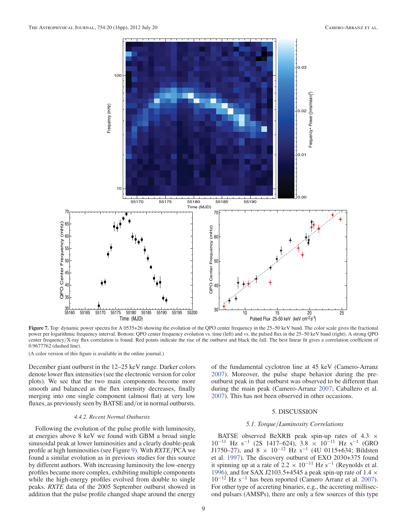

Figure 7. Top: dynamic power spectra for A 0535+26 showing the evolution of the QPO center frequency in the 25–50 keV band. The color scale gives the fractional power per logarithmic frequency interval. Bottom: QPO center frequency evolution vs. time (left) and vs. the pulsed flux in the 25–50 keV band (right). A strong QPO center frequency/X-ray flux correlation is found. Red points indicate the rise of the outburst and black the fall. The best linear fit gives a correlation coefficient of 0.9677762 (dashed line).

(A color version of this figure is available in the online journal.)

December giant outburst in the 12–25 keV range. Darker colors denote lower flux intensities (see the electronic version for color plots). We see that the two main components become more smooth and balanced as the flux intensity decreases, finally merging into one single component (almost flat) at very low fluxes, as previously seen by BATSE and/or in normal outbursts.

#### *4.4.2. Recent Normal Outbursts*

Following the evolution of the pulse profile with luminosity, at energies above 8 keV we found with GBM a broad single sinusoidal peak at lower luminosities and a clearly double-peak profile at high luminosities (see Figure 9). With *RXTE*/PCA we found a similar evolution as in previous studies for this source by different authors. With increasing luminosity the low-energy profiles became more complex, exhibiting multiple components while the high-energy profiles evolved from double to single peaks. *RXTE* data of the 2005 September outburst showed in addition that the pulse profile changed shape around the energy

of the fundamental cyclotron line at 45 keV (Camero-Arranz 2007). Moreover, the pulse shape behavior during the preoutburst peak in that outburst was observed to be different than during the main peak (Camero-Arranz 2007; Caballero et al. 2007). This has not been observed in other occasions.

# 5. DISCUSSION

#### *5.1. Torque*/*Luminosity Correlations*

BATSE observed BeXRB peak spin-up rates of  $4.3 \times$  $10^{-11}$  Hz s<sup>-1</sup> (2S 1417–624), 3.8 × 10<sup>-11</sup> Hz s<sup>-1</sup> (GRO J1750–27), and  $8 \times 10^{-12}$  Hz s<sup>-1</sup> (4U 0115+634; Bildsten et al. 1997). The discovery outburst of EXO 2030+375 found it spinning up at a rate of  $2.2 \times 10^{-11}$  Hz s<sup>-1</sup> (Reynolds et al. 1996), and for SAX J2103.5+4545 a peak spin-up rate of 1.4  $\times$ 10−<sup>12</sup> Hz s−<sup>1</sup> has been reported (Camero Arranz et al. 2007). For other type of accreting binaries, e.g., the accreting millisecond pulsars (AMSPs), there are only a few sources of this type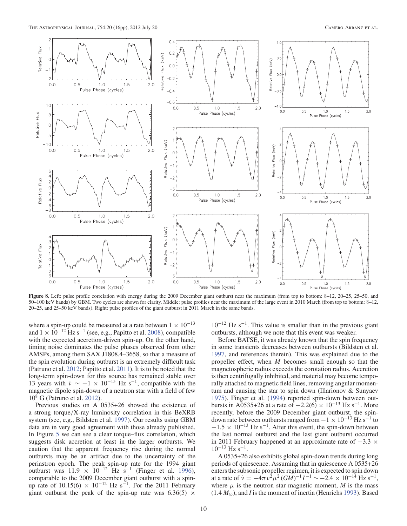

**Figure 8.** Left: pulse profile correlation with energy during the 2009 December giant outburst near the maximum (from top to bottom: 8–12, 20–25, 25–50, and 50–100 keV bands) by GBM. Two cycles are shown for clarity. Middle: pulse profiles near the maximum of the large event in 2010 March (from top to bottom: 8–12, 20–25, and 25–50 keV bands). Right: pulse profiles of the giant outburst in 2011 March in the same bands.

where a spin-up could be measured at a rate between  $1 \times 10^{-13}$ and  $1 \times 10^{-12}$  Hz s<sup>-1</sup> (see, e.g., Papitto et al. 2008), compatible with the expected accretion-driven spin-up. On the other hand, timing noise dominates the pulse phases observed from other AMSPs, among them SAX J1808.4–3658, so that a measure of the spin evolution during outburst is an extremely difficult task (Patruno et al. 2012; Papitto et al. 2011). It is to be noted that the long-term spin-down for this source has remained stable over 13 years with  $\dot{v} \sim -1 \times 10^{-15}$  Hz s<sup>-1</sup>, compatible with the magnetic dipole spin-down of a neutron star with a field of few 108 G (Patruno et al. 2012).

Previous studies on A 0535+26 showed the existence of a strong torque/X-ray luminosity correlation in this BeXRB system (see, e.g., Bildsten et al. 1997). Our results using GBM data are in very good agreement with those already published. In Figure 5 we can see a clear torque–flux correlation, which suggests disk accretion at least in the larger outbursts. We caution that the apparent frequency rise during the normal outbursts may be an artifact due to the uncertainty of the periastron epoch. The peak spin-up rate for the 1994 giant outburst was  $11.9 \times 10^{-12}$  Hz s<sup>-1</sup> (Finger et al. 1996), comparable to the 2009 December giant outburst with a spinup rate of  $10.15(6) \times 10^{-12}$  Hz s<sup>-1</sup>. For the 2011 February giant outburst the peak of the spin-up rate was  $6.36(5) \times$ 

 $10^{-12}$  Hz s<sup>-1</sup>. This value is smaller than in the previous giant outbursts, although we note that this event was weaker.

Before BATSE, it was already known that the spin frequency in some transients decreases between outbursts (Bildsten et al. 1997, and references therein). This was explained due to the propeller effect, when  $\dot{M}$  becomes small enough so that the magnetospheric radius exceeds the corotation radius. Accretion is then centrifugally inhibited, and material may become temporally attached to magnetic field lines, removing angular momentum and causing the star to spin down (Illarionov & Sunyaev 1975). Finger et al. (1994) reported spin-down between outbursts in A0535+26 at a rate of  $-2.2(6) \times 10^{-13}$  Hz s<sup>-1</sup>. More recently, before the 2009 December giant outburst, the spindown rate between outbursts ranged from  $-1 \times 10^{-13}$  Hz s<sup>-1</sup> to  $-1.5 \times 10^{-13}$  Hz s<sup>-1</sup>. After this event, the spin-down between the last normal outburst and the last giant outburst occurred in 2011 February happened at an approximate rate of  $-3.3 \times$  $10^{-13}$  Hz s<sup>-1</sup>.

A 0535+26 also exhibits global spin-down trends during long periods of quiescence. Assuming that in quiescence A 0535+26 enters the subsonic propeller regimen, it is expected to spin down at a rate of  $\dot{v} = -4\pi v^2 \mu^2 (GM)^{-1} I^{-1} \sim -2.4 \times 10^{-14}$  Hz s<sup>-1</sup>, where  $\mu$  is the neutron star magnetic moment, *M* is the mass  $(1.4 M_{\odot})$ , and *I* is the moment of inertia (Henrichs 1993). Based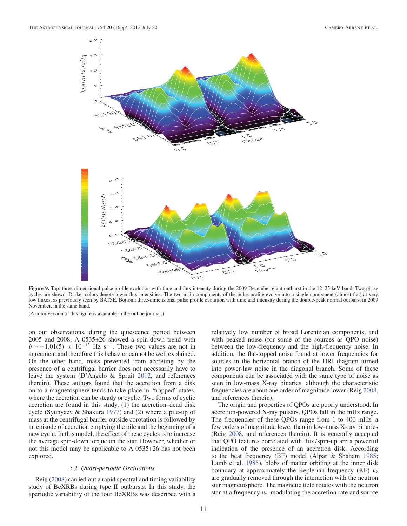

Figure 9. Top: three-dimensional pulse profile evolution with time and flux intensity during the 2009 December giant outburst in the 12–25 keV band. Two phase cycles are shown. Darker colors denote lower flux intensities. The two main components of the pulse profile evolve into a single component (almost flat) at very low fluxes, as previously seen by BATSE. Bottom: three-dimensional pulse profile evolution with time and intensity during the double-peak normal outburst in 2009 November, in the same band.

(A color version of this figure is available in the online journal.)

on our observations, during the quiescence period between 2005 and 2008, A 0535+26 showed a spin-down trend with  $\dot{v}$  ~ −1.01(5) × 10<sup>-13</sup> Hz s<sup>-1</sup>. These two values are not in agreement and therefore this behavior cannot be well explained. On the other hand, mass prevented from accreting by the presence of a centrifugal barrier does not necessarily have to leave the system (D'Angelo & Spruit 2012, and references therein). These authors found that the accretion from a disk on to a magnetosphere tends to take place in "trapped" states, where the accretion can be steady or cyclic. Two forms of cyclic accretion are found in this study, (1) the accretion–dead disk cycle (Syunyaev & Shakura 1977) and (2) where a pile-up of mass at the centrifugal barrier outside corotation is followed by an episode of accretion emptying the pile and the beginning of a new cycle. In this model, the effect of these cycles is to increase the average spin-down torque on the star. However, whether or not this model may be applicable to A 0535+26 has not been explored.

#### *5.2. Quasi-periodic Oscillations*

Reig (2008) carried out a rapid spectral and timing variability study of BeXRBs during type II outbursts. In this study, the aperiodic variability of the four BeXRBs was described with a relatively low number of broad Lorentzian components, and with peaked noise (for some of the sources as QPO noise) between the low-frequency and the high-frequency noise. In addition, the flat-topped noise found at lower frequencies for sources in the horizontal branch of the HRI diagram turned into power-law noise in the diagonal branch. Some of these components can be associated with the same type of noise as seen in low-mass X-ray binaries, although the characteristic frequencies are about one order of magnitude lower (Reig 2008, and references therein).

The origin and properties of QPOs are poorly understood. In accretion-powered X-ray pulsars, QPOs fall in the mHz range. The frequencies of these QPOs range from 1 to 400 mHz, a few orders of magnitude lower than in low-mass X-ray binaries (Reig 2008, and references therein). It is generally accepted that QPO features correlated with flux/spin-up are a powerful indication of the presence of an accretion disk. According to the beat frequency (BF) model (Alpar & Shaham 1985; Lamb et al. 1985), blobs of matter orbiting at the inner disk boundary at approximately the Keplerian frequency (KF)  $v_k$ are gradually removed through the interaction with the neutron star magnetosphere. The magnetic field rotates with the neutron star at a frequency  $v_s$ , modulating the accretion rate and source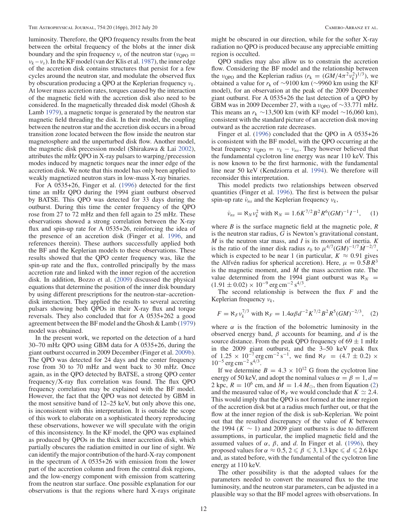luminosity. Therefore, the QPO frequency results from the beat between the orbital frequency of the blobs at the inner disk boundary and the spin frequency  $v_s$  of the neutron star ( $v_{\rm OPO}$  =  $v_k - v_s$ ). In the KF model (van der Klis et al. 1987), the inner edge of the accretion disk contains structures that persist for a few cycles around the neutron star, and modulate the observed flux by obscuration producing a QPO at the Keplerian frequency  $v_k$ . At lower mass accretion rates, torques caused by the interaction of the magnetic field with the accretion disk also need to be considered. In the magnetically threaded disk model (Ghosh & Lamb 1979), a magnetic torque is generated by the neutron star magnetic field threading the disk. In their model, the coupling between the neutron star and the accretion disk occurs in a broad transition zone located between the flow inside the neutron star magnetosphere and the unperturbed disk flow. Another model, the magnetic disk precession model (Shirakawa & Lai 2002), attributes the mHz QPO in X-ray pulsars to warping/precession modes induced by magnetic torques near the inner edge of the accretion disk. We note that this model has only been applied to weakly magnetized neutron stars in low-mass X-ray binaries.

For A 0535+26, Finger et al. (1996) detected for the first time an mHz QPO during the 1994 giant outburst observed by BATSE. This QPO was detected for 33 days during the outburst. During this time the center frequency of the QPO rose from 27 to 72 mHz and then fell again to 25 mHz. These observations showed a strong correlation between the X-ray flux and spin-up rate for A 0535+26, reinforcing the idea of the presence of an accretion disk (Finger et al. 1996, and references therein). These authors successfully applied both the BF and the Keplerian models to these observations. These results showed that the QPO center frequency was, like the spin-up rate and the flux, controlled principally by the mass accretion rate and linked with the inner region of the accretion disk. In addition, Bozzo et al. (2009) discussed the physical equations that determine the position of the inner disk boundary by using different prescriptions for the neutron-star–accretiondisk interaction. They applied the results to several accreting pulsars showing both QPOs in their X-ray flux and torque reversals. They also concluded that for A 0535+262 a good agreement between the BF model and the Ghosh & Lamb (1979) model was obtained.

In the present work, we reported on the detection of a hard 30–70 mHz QPO using GBM data for A 0535+26, during the giant outburst occurred in 2009 December (Finger et al. 2009b). The QPO was detected for 24 days and the center frequency rose from 30 to 70 mHz and went back to 30 mHz. Once again, as in the QPO detected by BATSE, a strong QPO center frequency/X-ray flux correlation was found. The flux QPO frequency correlation may be explained with the BF model. However, the fact that the QPO was not detected by GBM in the most sensitive band of 12–25 keV, but only above this one, is inconsistent with this interpretation. It is outside the scope of this work to elaborate on a sophisticated theory reproducing these observations, however we will speculate with the origin of this inconsistency. In the KF model, the QPO was explained as produced by QPOs in the thick inner accretion disk, which partially obscures the radiation emitted in our line of sight. We can identify the major contribution of the hard-X-ray component in the spectrum of A 0535+26 with emission from the lower part of the accretion column and from the central disk regions, and the low-energy component with emission from scattering from the neutron star surface. One possible explanation for our observations is that the regions where hard X-rays originate

might be obscured in our direction, while for the softer X-ray radiation no QPO is produced because any appreciable emitting region is occulted.

QPO studies may also allow us to constrain the accretion flow. Considering the BF model and the relationship between the  $v_{\rm QPO}$  and the Keplerian radius  $(r_k = (GM/4\pi^2 v_k^2)^{1/3})$ , we obtained a value for *r*<sup>k</sup> of ∼9100 km (∼9960 km using the KF model), for an observation at the peak of the 2009 December giant outburst. For A 0535+26 the last detection of a QPO by GBM was in 2009 December 27, with a  $v_{\text{OPO}}$  of ∼33.771 mHz. This means an  $r_k \sim 13,500$  km (with KF model ~16,060 km), consistent with the standard picture of an accretion disk moving outward as the accretion rate decreases.

Finger et al. (1996) concluded that the QPO in A 0535+26 is consistent with the BF model, with the QPO occurring at the beat frequency  $v_{QPO} = v_k - v_{ns}$ . They however believed that the fundamental cyclotron line energy was near 110 keV. This is now known to be the first harmonic, with the fundamental line near 50 keV (Kendziorra et al. 1994). We therefore will reconsider this interpretation.

This model predicts two relationships between observed quantities (Finger et al. 1996). The first is between the pulsar spin-up rate  $\dot{v}_{ns}$  and the Keplerian frequency  $v_k$ ,

$$
\dot{\nu}_{ns} = \aleph_N \nu_k^2 \text{ with } \aleph_N = 1.6 K^{7/2} B^2 R^6 (GM)^{-1} I^{-1}, \quad (1)
$$

where *B* is the surface magnetic field at the magnetic pole, *R* is the neutron star radius, G is Newton's gravitational constant, *M* is the neutron star mass, and *I* is its moment of inertia. *K* is the ratio of the inner disk radius  $r_0$  to  $\mu^{4/7} (GM)^{-1/7} M^{-2/7}$ , which is expected to be near 1 (in particular,  $K \approx 0.91$  gives the Alfvén radius for spherical accretion). Here,  $\mu = 0.5BR^3$ is the magnetic moment, and  $\dot{M}$  the mass accretion rate. The value determined from the 1994 giant outburst was  $\aleph_N$  =  $(1.91 \pm 0.02) \times 10^{-9}$  erg cm<sup>-2</sup> s<sup>4/3</sup>.

The second relationship is between the flux *F* and the Keplerian frequency  $v_k$ ,

$$
F = \aleph_F v_k^{7/3} \text{ with } \aleph_F = 1.4 \alpha \beta d^{-2} K^{7/2} B^2 R^5 (GM)^{-2/3}, \quad (2)
$$

where  $\alpha$  is the fraction of the bolometric luminosity in the observed energy band, β accounts for beaming, and *d* is the source distance. From the peak QPO frequency of  $69 \pm 1$  mHz in the 2009 giant outburst, and the 3–50 keV peak flux of 1.25 × 10<sup>-7</sup> erg cm<sup>-2</sup> s<sup>-1</sup>, we find  $\aleph_F = (4.7 \pm 0.2)$  ×  $10^{-5}$  erg cm<sup>-2</sup> s<sup>4/3</sup>.

If we determine  $B = 4.3 \times 10^{12}$  G from the cyclotron line energy of 50 keV, and adopt the nominal values  $\alpha = \beta = 1, d$ 2 kpc,  $R = 10^6$  cm, and  $M = 1.4 M_{\odot}$ , then from Equation (2) and the measured value of  $\aleph_F$  we would conclude that  $K \simeq 2.4$ . This would imply that the QPO is not formed at the inner region of the accretion disk but at a radius much further out, or that the flow at the inner region of the disk is sub-Keplerian. We point out that the resulted discrepancy of the value of *K* between the 1994 ( $K \sim 1$ ) and 2009 giant outbursts is due to different assumptions, in particular, the implied magnetic field and the assumed values of  $\alpha$ ,  $\beta$ , and d. In Finger et al. (1996), they proposed values for  $\alpha \approx 0.5$ ,  $2 \le \beta \le 3$ , 1.3 kpc  $\le d \le 2.6$  kpc and, as stated before, with the fundamental of the cyclotron line energy at 110 keV.

The other possibility is that the adopted values for the parameters needed to convert the measured flux to the true luminosity, and the neutron star parameters, can be adjusted in a plausible way so that the BF model agrees with observations. In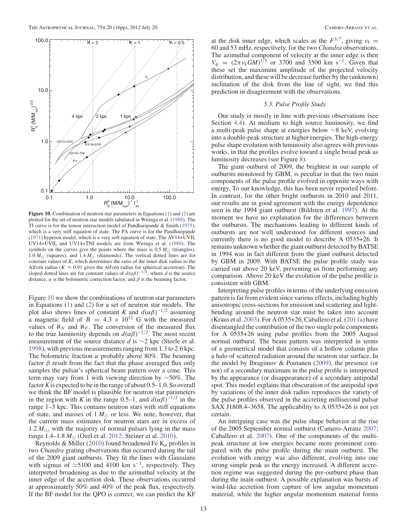

**Figure 10.** Combination of neutron star parameters in Equations (1) and (2) are plotted for the set of neutron star models tabulated in Wiringa et al. (1988). The TI curve is for the tensor interaction model of Pandharipande & Smith (1975), which is a very stiff equation of state. The PΛ curve is for the Pandharipande (1971) hyperon model, which is a very soft equation of state. The AV14+UVII, UV14+UVII, and UV14+TNI models are from Wiringa et al. (1988). The symbols on the curves give the points where the mass is  $0.5 M_{\odot}$  (triangles), 1.0  $M_{\odot}$  (squares), and 1.4  $M_{\odot}$  (diamonds). The vertical dotted lines are for constant values of *K*, which determines the ratio of the inner disk radius to the Alfvén radius ( $K \approx 0.91$  gives the Alfvén radius for spherical accretion). The sloped dotted lines are for constant values of  $d(\alpha\beta)^{-1/2}$ , where *d* is the source distance,  $\alpha$  is the bolometric correction factor, and  $\beta$  is the beaming factor.

Figure 10 we show the combinations of neutron star parameters in Equations (1) and (2) for a set of neutron star models. The plot also shows lines of constant *K* and  $d(\alpha\beta)^{-1/2}$  assuming a magnetic field of  $B = 4.3 \times 10^{12}$  G with the measured values of  $\aleph_N$  and  $\aleph_F$ . The conversion of the measured flux to the true luminosity depends on  $d(\alpha\beta)^{-1/2}$ . The most recent measurement of the source distance *d* is ∼2 kpc (Steele et al. 1998), with previous measurements ranging from 1.3 to 2.6 kpc. The bolometric fraction  $\alpha$  probably above 80%. The beaming factor  $\beta$  result from the fact that the phase averaged flux only samples the pulsar's spherical beam pattern over a cone. This term may vary from 1 with viewing direction by ∼50%. The factor*K*is expected to be in the range of about 0.5–1.0. So overall we think the BF model is plausible for neutron star parameters in the region with *K* in the range 0.5–1, and  $d(\alpha\beta)^{-1/2}$  in the range 1–3 kpc. This contains neutron stars with stiff equations of state, and masses of  $1 M_{\odot}$  or less. We note, however, that the current mass estimates for neutron stars are in excess of 1.2  $M_{\odot}$ , with the majority of normal pulsars lying in the mass range 1.4–1.8  $M_{\odot}$  (Ozel et al. 2012; Steiner et al. 2010).

Reynolds & Miller (2010) found broadened Fe  $K_{\alpha}$  profiles in two *Chandra* grating observations that occurred during the tail of the 2009 giant outbursts. They fit the lines with Gaussians with sigmas of  $\simeq$ 5100 and 4100 km s<sup>-1</sup>, respectively. They interpreted broadening as due to the azimuthal velocity at the inner edge of the accretion disk. These observations occurred at approximately 50% and 40% of the peak flux, respectively. If the BF model for the QPO is correct, we can predict the KF

at the disk inner edge, which scales as the  $F^{3/7}$ , giving  $v_k =$ 60 and 53 mHz, respectively, for the two *Chandra* observations. The azimuthal component of velocity at the inner edge is then  $V_{\phi}$  =  $(2\pi v_k GM)^{1/3}$  or 3700 and 3500 km s<sup>-1</sup>. Given that these set the maximum amplitude of the projected velocity distribution, and these will be decrease further by the (unknown) inclination of the disk from the line of sight, we find this prediction in disagreement with the observations.

#### *5.3. Pulse Profile Study*

Our study is mostly in line with previous observations (see Section 4.4). At medium to high source luminosity, we find a multi-peak pulse shape at energies below ∼8 keV, evolving into a double-peak structure at higher energies. The high-energy pulse shape evolution with luminosity also agrees with previous works, in that the profiles evolve toward a single broad peak as luminosity decreases (see Figure 8).

The giant outburst of 2009, the brightest in our sample of outbursts monitored by GBM, is peculiar in that the two main components of the pulse profile evolved in opposite ways with energy. To our knowledge, this has been never reported before. In contrast, for the other bright outbursts in 2010 and 2011, our results are in good agreement with the energy dependence seen in the 1994 giant outburst (Bildsten et al. 1997). At the moment we have no explanation for the differences between the outbursts. The mechanisms leading to different kinds of outbursts are not well understood for different sources and currently there is no good model to describe A 0535+26. It remains unknown whether the giant outburst detected by BATSE in 1994 was in fact different from the giant outburst detected by GBM in 2009. With BATSE the pulse profile study was carried out above 20 keV, preventing us from performing any comparison. Above 20 keV the evolution of the pulse profile is consistent with GBM.

Interpreting pulse profiles in terms of the underlying emission pattern is far from evident since various effects, including highly anisotropic cross-sections for emission and scattering and lightbending around the neutron star must be taken into account (Kraus et al. 2003). For A 0535+26, Caballero et al. (2011a) have disentangled the contribution of the two single pole components for A 0535+26 using pulse profiles from the 2005 August normal outburst. The beam pattern was interpreted in terms of a geometrical model that consists of a hollow column plus a halo of scattered radiation around the neutron star surface. In the model by Ibragimov & Poutanen (2009), the presence (or not) of a secondary maximum in the pulse profile is interpreted by the appearance (or disappearance) of a secondary antipodal spot. This model explains that obscuration of the antipodal spot by variations of the inner disk radius reproduces the variety of the pulse profiles observed in the accreting millisecond pulsar SAX J1808.4–3658. The applicability to A 0535+26 is not yet certain.

An intriguing case was the pulse shape behavior at the rise of the 2005 September normal outburst (Camero-Arranz 2007; Caballero et al. 2007). One of the components of the multipeak structure at low energies became more prominent compared with the pulse profile during the main outburst. The evolution with energy was also different, evolving into one strong simple peak as the energy increased. A different accretion regime was suggested during the pre-outburst phase than during the main outburst. A possible explanation was bursts of wind-like accretion from capture of low angular momentum material, while the higher angular momentum material forms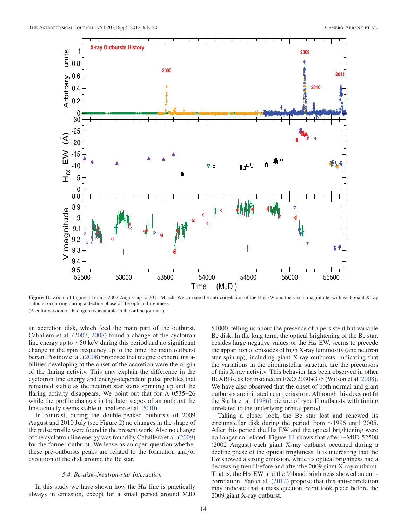

**Figure 11.** Zoom of Figure <sup>1</sup> from <sup>∼</sup>2002 August up to 2011 March. We can see the anti-correlation of the H<sup>α</sup> EW and the visual magnitude, with each giant X-ray outburst occurring during a decline phase of the optical brightness. (A color version of this figure is available in the online journal.)

an accretion disk, which feed the main part of the outburst. Caballero et al. (2007, 2008) found a change of the cyclotron line energy up to ∼50 keV during this period and no significant change in the spin frequency up to the time the main outburst began. Postnov et al. (2008) proposed that magnetospheric instabilities developing at the onset of the accretion were the origin of the flaring activity. This may explain the difference in the cyclotron line energy and energy-dependent pulse profiles that remained stable as the neutron star starts spinning up and the flaring activity disappears. We point out that for A 0535+26 while the profile changes in the later stages of an outburst the line actually seems stable (Caballero et al. 2010).

In contrast, during the double-peaked outbursts of 2009 August and 2010 July (see Figure 2) no changes in the shape of the pulse profile were found in the present work. Also no change of the cyclotron line energy was found by Caballero et al. (2009) for the former outburst. We leave as an open question whether these pre-outbursts peaks are related to the formation and/or evolution of the disk around the Be star.

# *5.4. Be-disk–Neutron-star Interaction*

In this study we have shown how the  $H\alpha$  line is practically always in emission, except for a small period around MJD 51000, telling us about the presence of a persistent but variable Be disk. In the long term, the optical brightening of the Be star, besides large negative values of the  $H\alpha$  EW, seems to precede the apparition of episodes of high X-ray luminosity (and neutron star spin-up), including giant X-ray outbursts, indicating that the variations in the circumstellar structure are the precursors of this X-ray activity. This behavior has been observed in other BeXRBs, as for instance in EXO 2030+375 (Wilson et al. 2008). We have also observed that the onset of both normal and giant outbursts are initiated near periastron. Although this does not fit the Stella et al. (1986) picture of type II outbursts with timing unrelated to the underlying orbital period.

Taking a closer look, the Be star lost and renewed its circumstellar disk during the period from ∼1996 until 2005. After this period the H $\alpha$  EW and the optical brightening were no longer correlated. Figure 11 shows that after ∼MJD 52500 (2002 August) each giant X-ray outburst occurred during a decline phase of the optical brightness. It is interesting that the H $\alpha$  showed a strong emission, while its optical brightness had a decreasing trend before and after the 2009 giant X-ray outburst. That is, the Hα EW and the *V*-band brightness showed an anticorrelation. Yan et al. (2012) propose that this anti-correlation may indicate that a mass ejection event took place before the 2009 giant X-ray outburst.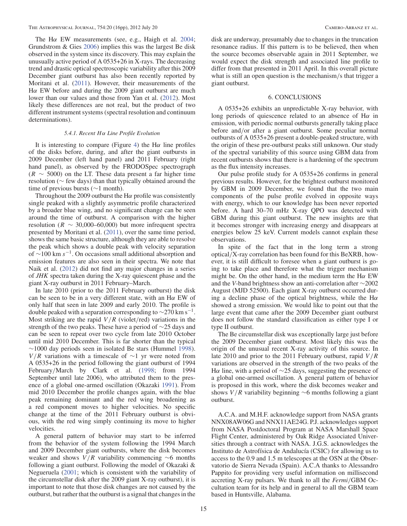The H $\alpha$  EW measurements (see, e.g., Haigh et al. 2004; Grundstrom & Gies 2006) implies this was the largest Be disk observed in the system since its discovery. This may explain the unusually active period of A 0535+26 in X-rays. The decreasing trend and drastic optical spectroscopic variability after this 2009 December giant outburst has also been recently reported by Moritani et al. (2011). However, their measurements of the Hα EW before and during the 2009 giant outburst are much lower than our values and those from Yan et al. (2012). Most likely these differences are not real, but the product of two different instrument systems (spectral resolution and continuum determinations).

#### *5.4.1. Recent* H α *Line Profile Evolution*

It is interesting to compare (Figure 4) the H $\alpha$  line profiles of the disks before, during, and after the giant outbursts in 2009 December (left hand panel) and 2011 February (right hand panel), as observed by the FRODOSpec spectrograph  $(R \sim 5000)$  on the LT. These data present a far higher time resolution (∼ few days) than that typically obtained around the time of previous bursts (∼1 month).

Throughout the 2009 outburst the  $H\alpha$  profile was consistently single peaked with a slightly asymmetric profile characterized by a broader blue wing, and no significant change can be seen around the time of outburst. A comparison with the higher resolution ( $R \sim 30,000-60,000$ ) but more infrequent spectra presented by Moritani et al. (2011), over the same time period, shows the same basic structure, although they are able to resolve the peak which shows a double peak with velocity separation of  $\sim$ 100 km s<sup>-1</sup>. On occasions small additional absorption and emission features are also seen in their spectra. We note that Naik et al. (2012) did not find any major changes in a series of *JHK* spectra taken during the X-ray quiescent phase and the giant X-ray outburst in 2011 February–March.

In late 2010 (prior to the 2011 February outburst) the disk can be seen to be in a very different state, with an  $H\alpha$  EW of only half that seen in late 2009 and early 2010. The profile is double peaked with a separation corresponding to  $\sim$ 270 km s<sup>-1</sup>. Most striking are the rapid  $V/R$  (violet/red) variations in the strength of the two peaks. These have a period of ∼25 days and can be seen to repeat over two cycle from late 2010 October until mid 2010 December. This is far shorter than the typical  $~\sim$ 1000 day periods seen in isolated Be stars (Hummel 1998).  $V/R$  variations with a timescale of ∼1 yr were noted from A 0535+26 in the period following the giant outburst of 1994 February/March by Clark et al. (1998; from 1994 September until late 2006), who attributed them to the presence of a global one-armed oscillation (Okazaki 1991). From mid 2010 December the profile changes again, with the blue peak remaining dominant and the red wing broadening as a red component moves to higher velocities. No specific change at the time of the 2011 February outburst is obvious, with the red wing simply continuing its move to higher velocities.

A general pattern of behavior may start to be inferred from the behavior of the system following the 1994 March and 2009 December giant outbursts, where the disk becomes weaker and shows  $V/R$  variability commencing ∼6 months following a giant outburst. Following the model of Okazaki & Negueruela (2001; which is consistent with the variability of the circumstellar disk after the 2009 giant X-ray outburst), it is important to note that those disk changes are not caused by the outburst, but rather that the outburst is a signal that changes in the

disk are underway, presumably due to changes in the truncation resonance radius. If this pattern is to be believed, then when the source becomes observable again in 2011 September, we would expect the disk strength and associated line profile to differ from that presented in 2011 April. In this overall picture what is still an open question is the mechanism/s that trigger a giant outburst.

## 6. CONCLUSIONS

A 0535+26 exhibits an unpredictable X-ray behavior, with long periods of quiescence related to an absence of  $H\alpha$  in emission, with periodic normal outbursts generally taking place before and/or after a giant outburst. Some peculiar normal outbursts of A 0535+26 present a double-peaked structure, with the origin of these pre-outburst peaks still unknown. Our study of the spectral variability of this source using GBM data from recent outbursts shows that there is a hardening of the spectrum as the flux intensity increases.

Our pulse profile study for A 0535+26 confirms in general previous results. However, for the brightest outburst monitored by GBM in 2009 December, we found that the two main components of the pulse profile evolved in opposite ways with energy, which to our knowledge has been never reported before. A hard 30–70 mHz X-ray QPO was detected with GBM during this giant outburst. The new insights are that it becomes stronger with increasing energy and disappears at energies below 25 keV. Current models cannot explain these observations.

In spite of the fact that in the long term a strong optical/X-ray correlation has been found for this BeXRB, however, it is still difficult to foresee when a giant outburst is going to take place and therefore what the trigger mechanism might be. On the other hand, in the medium term the  $H\alpha$  EW and the *V*-band brightness show an anti-correlation after ∼2002 August (MJD 52500). Each giant X-ray outburst occurred during a decline phase of the optical brightness, while the H $\alpha$ showed a strong emission. We would like to point out that the large event that came after the 2009 December giant outburst does not follow the standard classification as either type I or type II outburst.

The Be circumstellar disk was exceptionally large just before the 2009 December giant outburst. Most likely this was the origin of the unusual recent X-ray activity of this source. In late 2010 and prior to the 2011 February outburst, rapid  $V/R$ variations are observed in the strength of the two peaks of the Hα line, with a period of  $\sim$ 25 days, suggesting the presence of a global one-armed oscillation. A general pattern of behavior is proposed in this work, where the disk becomes weaker and shows  $V/R$  variability beginning ∼6 months following a giant outburst.

A.C.A. and M.H.F. acknowledge support from NASA grants NNX08AW06G and NNX11AE24G. P.J. acknowledges support from NASA Postdoctoral Program at NASA Marshall Space Flight Center, administered by Oak Ridge Associated Universities through a contract with NASA. J.G.S. acknowledges the Instituto de Astrofísica de Andalucía (CSIC) for allowing us to access to the 0.9 and 1.5 m telescopes at the OSN at the Observatorio de Sierra Nevada (Spain). A.C.A thanks to Alessandro Pappito for providing very useful information on millisecond accreting X-ray pulsars. We thank to all the *Fermi*/GBM Occultation team for its help and in general to all the GBM team based in Huntsville, Alabama.